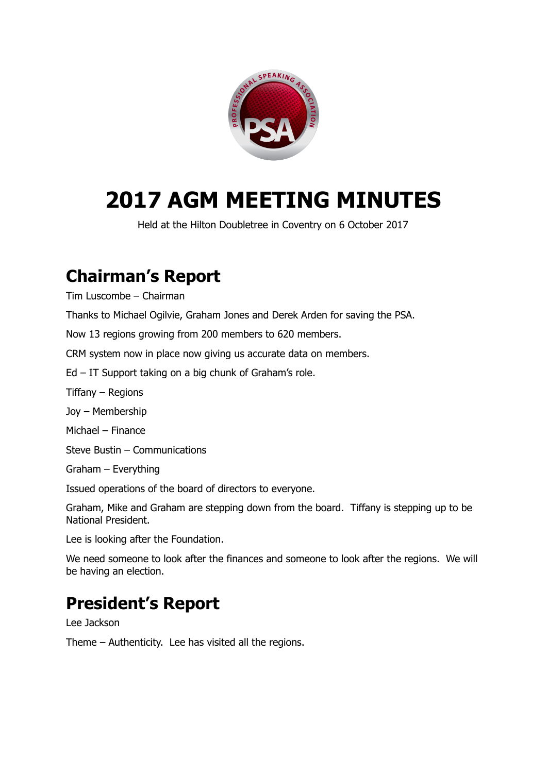

# **2017 AGM MEETING MINUTES**

Held at the Hilton Doubletree in Coventry on 6 October 2017

## **Chairman's Report**

Tim Luscombe – Chairman

Thanks to Michael Ogilvie, Graham Jones and Derek Arden for saving the PSA.

Now 13 regions growing from 200 members to 620 members.

CRM system now in place now giving us accurate data on members.

Ed – IT Support taking on a big chunk of Graham's role.

Tiffany – Regions

Joy – Membership

Michael – Finance

Steve Bustin – Communications

Graham – Everything

Issued operations of the board of directors to everyone.

Graham, Mike and Graham are stepping down from the board. Tiffany is stepping up to be National President.

Lee is looking after the Foundation.

We need someone to look after the finances and someone to look after the regions. We will be having an election.

### **President's Report**

Lee Jackson

Theme – Authenticity. Lee has visited all the regions.